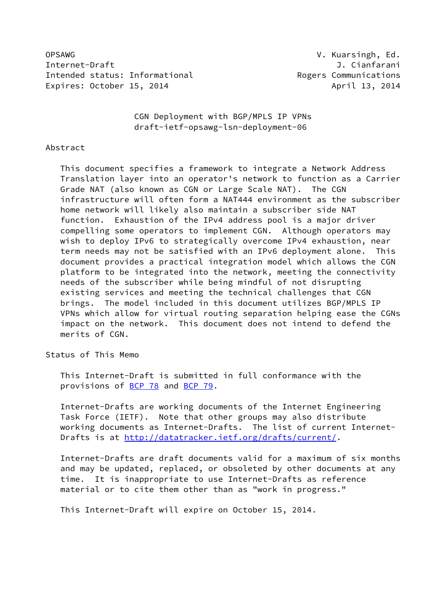OPSAWG V. Kuarsingh, Ed. Internet-Draft J. Cianfarani Intended status: Informational **Exercise 2018** Rogers Communications Expires: October 15, 2014 **April 13, 2014** April 13, 2014

 CGN Deployment with BGP/MPLS IP VPNs draft-ietf-opsawg-lsn-deployment-06

#### Abstract

 This document specifies a framework to integrate a Network Address Translation layer into an operator's network to function as a Carrier Grade NAT (also known as CGN or Large Scale NAT). The CGN infrastructure will often form a NAT444 environment as the subscriber home network will likely also maintain a subscriber side NAT function. Exhaustion of the IPv4 address pool is a major driver compelling some operators to implement CGN. Although operators may wish to deploy IPv6 to strategically overcome IPv4 exhaustion, near term needs may not be satisfied with an IPv6 deployment alone. This document provides a practical integration model which allows the CGN platform to be integrated into the network, meeting the connectivity needs of the subscriber while being mindful of not disrupting existing services and meeting the technical challenges that CGN brings. The model included in this document utilizes BGP/MPLS IP VPNs which allow for virtual routing separation helping ease the CGNs impact on the network. This document does not intend to defend the merits of CGN.

Status of This Memo

 This Internet-Draft is submitted in full conformance with the provisions of [BCP 78](https://datatracker.ietf.org/doc/pdf/bcp78) and [BCP 79](https://datatracker.ietf.org/doc/pdf/bcp79).

 Internet-Drafts are working documents of the Internet Engineering Task Force (IETF). Note that other groups may also distribute working documents as Internet-Drafts. The list of current Internet Drafts is at<http://datatracker.ietf.org/drafts/current/>.

 Internet-Drafts are draft documents valid for a maximum of six months and may be updated, replaced, or obsoleted by other documents at any time. It is inappropriate to use Internet-Drafts as reference material or to cite them other than as "work in progress."

This Internet-Draft will expire on October 15, 2014.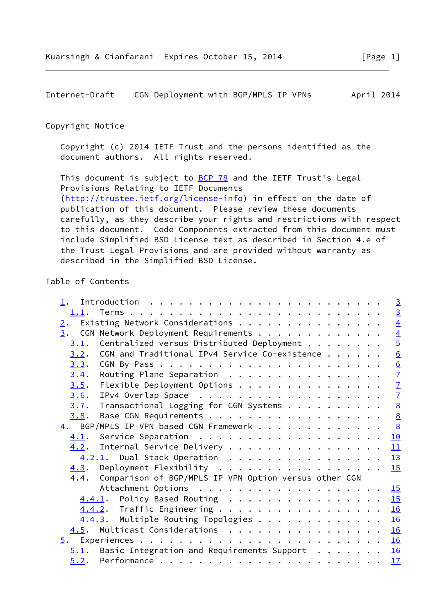Internet-Draft CGN Deployment with BGP/MPLS IP VPNs April 2014

## Copyright Notice

 Copyright (c) 2014 IETF Trust and the persons identified as the document authors. All rights reserved.

This document is subject to **[BCP 78](https://datatracker.ietf.org/doc/pdf/bcp78)** and the IETF Trust's Legal Provisions Relating to IETF Documents [\(http://trustee.ietf.org/license-info](http://trustee.ietf.org/license-info)) in effect on the date of publication of this document. Please review these documents carefully, as they describe your rights and restrictions with respect to this document. Code Components extracted from this document must include Simplified BSD License text as described in Section 4.e of the Trust Legal Provisions and are provided without warranty as described in the Simplified BSD License.

# Table of Contents

| Introduction $\ldots \ldots \ldots \ldots \ldots \ldots \ldots \ldots$ | $\overline{\mathbf{3}}$ |
|------------------------------------------------------------------------|-------------------------|
|                                                                        | $\overline{3}$          |
|                                                                        | $\overline{4}$          |
| $\underline{3}$ . CGN Network Deployment Requirements                  | $\overline{4}$          |
| Centralized versus Distributed Deployment<br>3.1.                      | $\overline{5}$          |
| CGN and Traditional IPv4 Service Co-existence<br>3.2.                  | 6                       |
| 3.3.                                                                   | $\overline{6}$          |
| Routing Plane Separation<br>3.4.                                       | $\overline{1}$          |
| Flexible Deployment Options<br>3.5.                                    |                         |
| 3.6.                                                                   | $\frac{7}{7}$           |
| Transactional Logging for CGN Systems<br>3.7.                          | $\underline{8}$         |
| $\frac{8}{2}$<br>3.8.                                                  |                         |
| $\frac{8}{2}$<br>$\underline{4}$ . BGP/MPLS IP VPN based CGN Framework |                         |
|                                                                        | 10                      |
| 4.2. Internal Service Delivery                                         | 11                      |
| 4.2.1. Dual Stack Operation 13                                         |                         |
| 4.3. Deployment Flexibility<br>15                                      |                         |
| 4.4. Comparison of BGP/MPLS IP VPN Option versus other CGN             |                         |
|                                                                        |                         |
| 4.4.1. Policy Based Routing 15                                         |                         |
| 4.4.2. Traffic Engineering 16                                          |                         |
| 4.4.3. Multiple Routing Topologies 16                                  |                         |
| 4.5. Multicast Considerations 16                                       |                         |
|                                                                        | 16                      |
| $5.1$ . Basic Integration and Requirements Support<br>16               |                         |
|                                                                        | 17                      |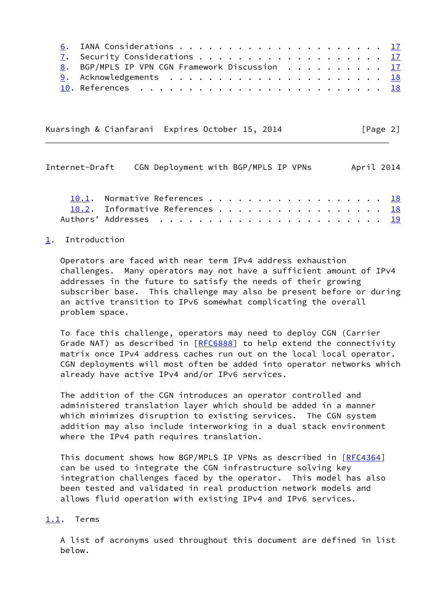| 8. BGP/MPLS IP VPN CGN Framework Discussion 17                                                        |  |
|-------------------------------------------------------------------------------------------------------|--|
|                                                                                                       |  |
| 10. References $\ldots \ldots \ldots \ldots \ldots \ldots \ldots \ldots \ldots \quad \underbrace{18}$ |  |

Kuarsingh & Cianfarani Expires October 15, 2014 [Page 2]

<span id="page-2-1"></span>

| Internet-Draft CGN Deployment with BGP/MPLS IP VPNs |                                 |  |  |  |  |  |  |  |  |  | April 2014 |
|-----------------------------------------------------|---------------------------------|--|--|--|--|--|--|--|--|--|------------|
|                                                     | 10.1. Normative References 18   |  |  |  |  |  |  |  |  |  |            |
|                                                     | 10.2. Informative References 18 |  |  |  |  |  |  |  |  |  |            |
|                                                     |                                 |  |  |  |  |  |  |  |  |  |            |

# <span id="page-2-0"></span>[1](#page-2-0). Introduction

 Operators are faced with near term IPv4 address exhaustion challenges. Many operators may not have a sufficient amount of IPv4 addresses in the future to satisfy the needs of their growing subscriber base. This challenge may also be present before or during an active transition to IPv6 somewhat complicating the overall problem space.

 To face this challenge, operators may need to deploy CGN (Carrier Grade NAT) as described in [[RFC6888\]](https://datatracker.ietf.org/doc/pdf/rfc6888) to help extend the connectivity matrix once IPv4 address caches run out on the local local operator. CGN deployments will most often be added into operator networks which already have active IPv4 and/or IPv6 services.

 The addition of the CGN introduces an operator controlled and administered translation layer which should be added in a manner which minimizes disruption to existing services. The CGN system addition may also include interworking in a dual stack environment where the IPv4 path requires translation.

This document shows how BGP/MPLS IP VPNs as described in [\[RFC4364](https://datatracker.ietf.org/doc/pdf/rfc4364)] can be used to integrate the CGN infrastructure solving key integration challenges faced by the operator. This model has also been tested and validated in real production network models and allows fluid operation with existing IPv4 and IPv6 services.

# <span id="page-2-2"></span>[1.1](#page-2-2). Terms

 A list of acronyms used throughout this document are defined in list below.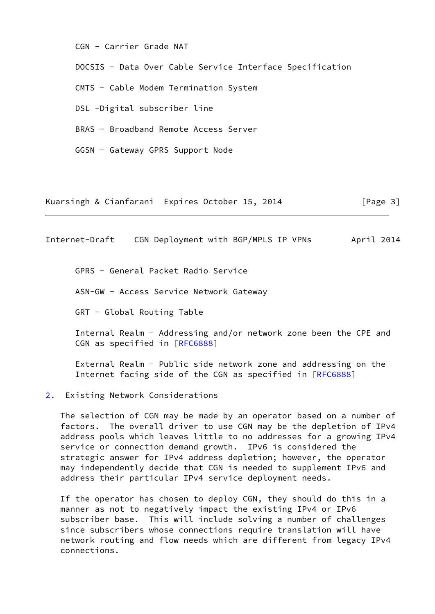CGN - Carrier Grade NAT

DOCSIS - Data Over Cable Service Interface Specification

CMTS - Cable Modem Termination System

DSL -Digital subscriber line

BRAS - Broadband Remote Access Server

GGSN - Gateway GPRS Support Node

Kuarsingh & Cianfarani Expires October 15, 2014 [Page 3]

<span id="page-3-1"></span>Internet-Draft CGN Deployment with BGP/MPLS IP VPNs April 2014

GPRS - General Packet Radio Service

ASN-GW - Access Service Network Gateway

GRT - Global Routing Table

 Internal Realm - Addressing and/or network zone been the CPE and CGN as specified in [\[RFC6888](https://datatracker.ietf.org/doc/pdf/rfc6888)]

 External Realm - Public side network zone and addressing on the Internet facing side of the CGN as specified in [[RFC6888\]](https://datatracker.ietf.org/doc/pdf/rfc6888)

#### <span id="page-3-0"></span>[2](#page-3-0). Existing Network Considerations

 The selection of CGN may be made by an operator based on a number of factors. The overall driver to use CGN may be the depletion of IPv4 address pools which leaves little to no addresses for a growing IPv4 service or connection demand growth. IPv6 is considered the strategic answer for IPv4 address depletion; however, the operator may independently decide that CGN is needed to supplement IPv6 and address their particular IPv4 service deployment needs.

 If the operator has chosen to deploy CGN, they should do this in a manner as not to negatively impact the existing IPv4 or IPv6 subscriber base. This will include solving a number of challenges since subscribers whose connections require translation will have network routing and flow needs which are different from legacy IPv4 connections.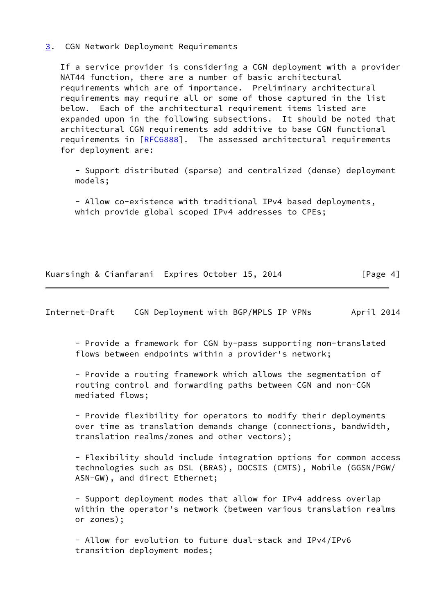### <span id="page-4-0"></span>[3](#page-4-0). CGN Network Deployment Requirements

 If a service provider is considering a CGN deployment with a provider NAT44 function, there are a number of basic architectural requirements which are of importance. Preliminary architectural requirements may require all or some of those captured in the list below. Each of the architectural requirement items listed are expanded upon in the following subsections. It should be noted that architectural CGN requirements add additive to base CGN functional requirements in [\[RFC6888](https://datatracker.ietf.org/doc/pdf/rfc6888)]. The assessed architectural requirements for deployment are:

 - Support distributed (sparse) and centralized (dense) deployment models;

 - Allow co-existence with traditional IPv4 based deployments, which provide global scoped IPv4 addresses to CPEs;

Kuarsingh & Cianfarani Expires October 15, 2014 [Page 4]

<span id="page-4-1"></span>Internet-Draft CGN Deployment with BGP/MPLS IP VPNs April 2014

 - Provide a framework for CGN by-pass supporting non-translated flows between endpoints within a provider's network;

 - Provide a routing framework which allows the segmentation of routing control and forwarding paths between CGN and non-CGN mediated flows;

 - Provide flexibility for operators to modify their deployments over time as translation demands change (connections, bandwidth, translation realms/zones and other vectors);

 - Flexibility should include integration options for common access technologies such as DSL (BRAS), DOCSIS (CMTS), Mobile (GGSN/PGW/ ASN-GW), and direct Ethernet;

 - Support deployment modes that allow for IPv4 address overlap within the operator's network (between various translation realms or zones);

 - Allow for evolution to future dual-stack and IPv4/IPv6 transition deployment modes;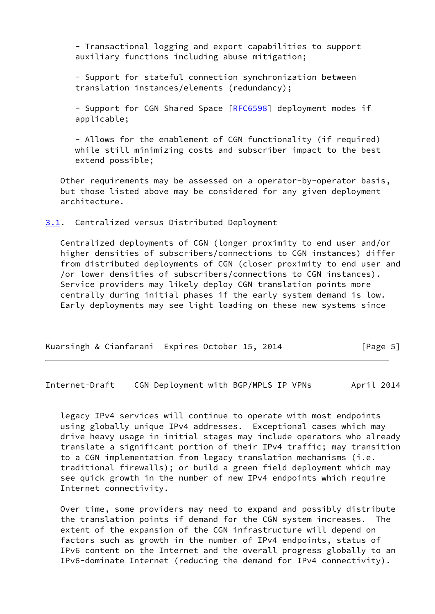- Transactional logging and export capabilities to support auxiliary functions including abuse mitigation;

 - Support for stateful connection synchronization between translation instances/elements (redundancy);

- Support for CGN Shared Space [[RFC6598](https://datatracker.ietf.org/doc/pdf/rfc6598)] deployment modes if applicable;

 - Allows for the enablement of CGN functionality (if required) while still minimizing costs and subscriber impact to the best extend possible;

 Other requirements may be assessed on a operator-by-operator basis, but those listed above may be considered for any given deployment architecture.

<span id="page-5-0"></span>[3.1](#page-5-0). Centralized versus Distributed Deployment

 Centralized deployments of CGN (longer proximity to end user and/or higher densities of subscribers/connections to CGN instances) differ from distributed deployments of CGN (closer proximity to end user and /or lower densities of subscribers/connections to CGN instances). Service providers may likely deploy CGN translation points more centrally during initial phases if the early system demand is low. Early deployments may see light loading on these new systems since

| Kuarsingh & Cianfarani Expires October 15, 2014 |  |  | [Page 5] |
|-------------------------------------------------|--|--|----------|
|-------------------------------------------------|--|--|----------|

<span id="page-5-1"></span>Internet-Draft CGN Deployment with BGP/MPLS IP VPNs April 2014

 legacy IPv4 services will continue to operate with most endpoints using globally unique IPv4 addresses. Exceptional cases which may drive heavy usage in initial stages may include operators who already translate a significant portion of their IPv4 traffic; may transition to a CGN implementation from legacy translation mechanisms (i.e. traditional firewalls); or build a green field deployment which may see quick growth in the number of new IPv4 endpoints which require Internet connectivity.

 Over time, some providers may need to expand and possibly distribute the translation points if demand for the CGN system increases. The extent of the expansion of the CGN infrastructure will depend on factors such as growth in the number of IPv4 endpoints, status of IPv6 content on the Internet and the overall progress globally to an IPv6-dominate Internet (reducing the demand for IPv4 connectivity).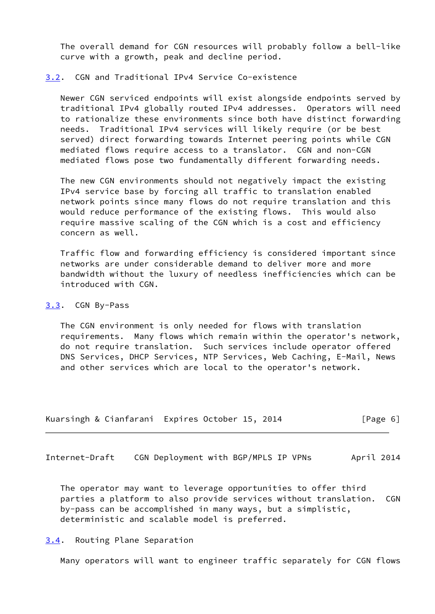The overall demand for CGN resources will probably follow a bell-like curve with a growth, peak and decline period.

# <span id="page-6-0"></span>[3.2](#page-6-0). CGN and Traditional IPv4 Service Co-existence

 Newer CGN serviced endpoints will exist alongside endpoints served by traditional IPv4 globally routed IPv4 addresses. Operators will need to rationalize these environments since both have distinct forwarding needs. Traditional IPv4 services will likely require (or be best served) direct forwarding towards Internet peering points while CGN mediated flows require access to a translator. CGN and non-CGN mediated flows pose two fundamentally different forwarding needs.

 The new CGN environments should not negatively impact the existing IPv4 service base by forcing all traffic to translation enabled network points since many flows do not require translation and this would reduce performance of the existing flows. This would also require massive scaling of the CGN which is a cost and efficiency concern as well.

 Traffic flow and forwarding efficiency is considered important since networks are under considerable demand to deliver more and more bandwidth without the luxury of needless inefficiencies which can be introduced with CGN.

# <span id="page-6-1"></span>[3.3](#page-6-1). CGN By-Pass

 The CGN environment is only needed for flows with translation requirements. Many flows which remain within the operator's network, do not require translation. Such services include operator offered DNS Services, DHCP Services, NTP Services, Web Caching, E-Mail, News and other services which are local to the operator's network.

|  | Kuarsingh & Cianfarani Expires October 15, 2014 | [Page 6] |
|--|-------------------------------------------------|----------|
|--|-------------------------------------------------|----------|

<span id="page-6-3"></span>Internet-Draft CGN Deployment with BGP/MPLS IP VPNs April 2014

 The operator may want to leverage opportunities to offer third parties a platform to also provide services without translation. CGN by-pass can be accomplished in many ways, but a simplistic, deterministic and scalable model is preferred.

# <span id="page-6-2"></span>[3.4](#page-6-2). Routing Plane Separation

Many operators will want to engineer traffic separately for CGN flows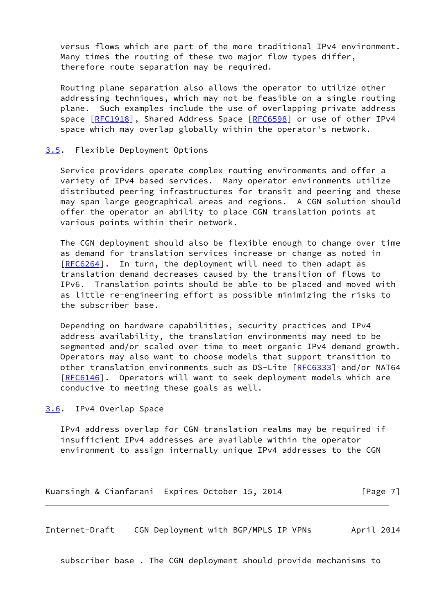versus flows which are part of the more traditional IPv4 environment. Many times the routing of these two major flow types differ, therefore route separation may be required.

 Routing plane separation also allows the operator to utilize other addressing techniques, which may not be feasible on a single routing plane. Such examples include the use of overlapping private address space [[RFC1918](https://datatracker.ietf.org/doc/pdf/rfc1918)], Shared Address Space [[RFC6598](https://datatracker.ietf.org/doc/pdf/rfc6598)] or use of other IPv4 space which may overlap globally within the operator's network.

## <span id="page-7-0"></span>[3.5](#page-7-0). Flexible Deployment Options

 Service providers operate complex routing environments and offer a variety of IPv4 based services. Many operator environments utilize distributed peering infrastructures for transit and peering and these may span large geographical areas and regions. A CGN solution should offer the operator an ability to place CGN translation points at various points within their network.

 The CGN deployment should also be flexible enough to change over time as demand for translation services increase or change as noted in [\[RFC6264](https://datatracker.ietf.org/doc/pdf/rfc6264)]. In turn, the deployment will need to then adapt as translation demand decreases caused by the transition of flows to IPv6. Translation points should be able to be placed and moved with as little re-engineering effort as possible minimizing the risks to the subscriber base.

 Depending on hardware capabilities, security practices and IPv4 address availability, the translation environments may need to be segmented and/or scaled over time to meet organic IPv4 demand growth. Operators may also want to choose models that support transition to other translation environments such as DS-Lite [\[RFC6333](https://datatracker.ietf.org/doc/pdf/rfc6333)] and/or NAT64 [\[RFC6146](https://datatracker.ietf.org/doc/pdf/rfc6146)]. Operators will want to seek deployment models which are conducive to meeting these goals as well.

# <span id="page-7-1"></span>[3.6](#page-7-1). IPv4 Overlap Space

 IPv4 address overlap for CGN translation realms may be required if insufficient IPv4 addresses are available within the operator environment to assign internally unique IPv4 addresses to the CGN

Kuarsingh & Cianfarani Expires October 15, 2014 [Page 7]

<span id="page-7-2"></span>Internet-Draft CGN Deployment with BGP/MPLS IP VPNs April 2014

subscriber base . The CGN deployment should provide mechanisms to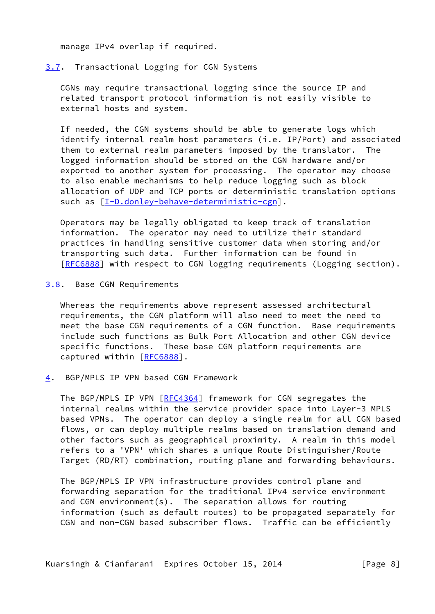manage IPv4 overlap if required.

# <span id="page-8-0"></span>[3.7](#page-8-0). Transactional Logging for CGN Systems

 CGNs may require transactional logging since the source IP and related transport protocol information is not easily visible to external hosts and system.

 If needed, the CGN systems should be able to generate logs which identify internal realm host parameters (i.e. IP/Port) and associated them to external realm parameters imposed by the translator. The logged information should be stored on the CGN hardware and/or exported to another system for processing. The operator may choose to also enable mechanisms to help reduce logging such as block allocation of UDP and TCP ports or deterministic translation options such as [\[I-D.donley-behave-deterministic-cgn](#page-19-6)].

 Operators may be legally obligated to keep track of translation information. The operator may need to utilize their standard practices in handling sensitive customer data when storing and/or transporting such data. Further information can be found in [\[RFC6888](https://datatracker.ietf.org/doc/pdf/rfc6888)] with respect to CGN logging requirements (Logging section).

<span id="page-8-1"></span>[3.8](#page-8-1). Base CGN Requirements

 Whereas the requirements above represent assessed architectural requirements, the CGN platform will also need to meet the need to meet the base CGN requirements of a CGN function. Base requirements include such functions as Bulk Port Allocation and other CGN device specific functions. These base CGN platform requirements are captured within [\[RFC6888](https://datatracker.ietf.org/doc/pdf/rfc6888)].

<span id="page-8-2"></span>[4](#page-8-2). BGP/MPLS IP VPN based CGN Framework

 The BGP/MPLS IP VPN [\[RFC4364](https://datatracker.ietf.org/doc/pdf/rfc4364)] framework for CGN segregates the internal realms within the service provider space into Layer-3 MPLS based VPNs. The operator can deploy a single realm for all CGN based flows, or can deploy multiple realms based on translation demand and other factors such as geographical proximity. A realm in this model refers to a 'VPN' which shares a unique Route Distinguisher/Route Target (RD/RT) combination, routing plane and forwarding behaviours.

 The BGP/MPLS IP VPN infrastructure provides control plane and forwarding separation for the traditional IPv4 service environment and CGN environment(s). The separation allows for routing information (such as default routes) to be propagated separately for CGN and non-CGN based subscriber flows. Traffic can be efficiently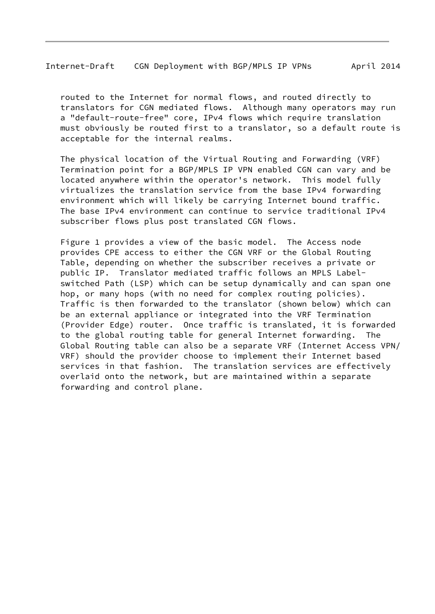routed to the Internet for normal flows, and routed directly to translators for CGN mediated flows. Although many operators may run a "default-route-free" core, IPv4 flows which require translation must obviously be routed first to a translator, so a default route is acceptable for the internal realms.

 The physical location of the Virtual Routing and Forwarding (VRF) Termination point for a BGP/MPLS IP VPN enabled CGN can vary and be located anywhere within the operator's network. This model fully virtualizes the translation service from the base IPv4 forwarding environment which will likely be carrying Internet bound traffic. The base IPv4 environment can continue to service traditional IPv4 subscriber flows plus post translated CGN flows.

 Figure 1 provides a view of the basic model. The Access node provides CPE access to either the CGN VRF or the Global Routing Table, depending on whether the subscriber receives a private or public IP. Translator mediated traffic follows an MPLS Label switched Path (LSP) which can be setup dynamically and can span one hop, or many hops (with no need for complex routing policies). Traffic is then forwarded to the translator (shown below) which can be an external appliance or integrated into the VRF Termination (Provider Edge) router. Once traffic is translated, it is forwarded to the global routing table for general Internet forwarding. The Global Routing table can also be a separate VRF (Internet Access VPN/ VRF) should the provider choose to implement their Internet based services in that fashion. The translation services are effectively overlaid onto the network, but are maintained within a separate forwarding and control plane.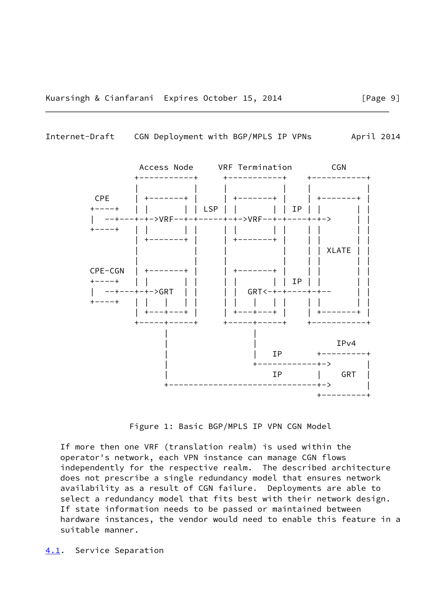<span id="page-10-1"></span>



Figure 1: Basic BGP/MPLS IP VPN CGN Model

 If more then one VRF (translation realm) is used within the operator's network, each VPN instance can manage CGN flows independently for the respective realm. The described architecture does not prescribe a single redundancy model that ensures network availability as a result of CGN failure. Deployments are able to select a redundancy model that fits best with their network design. If state information needs to be passed or maintained between hardware instances, the vendor would need to enable this feature in a suitable manner.

<span id="page-10-0"></span>[4.1](#page-10-0). Service Separation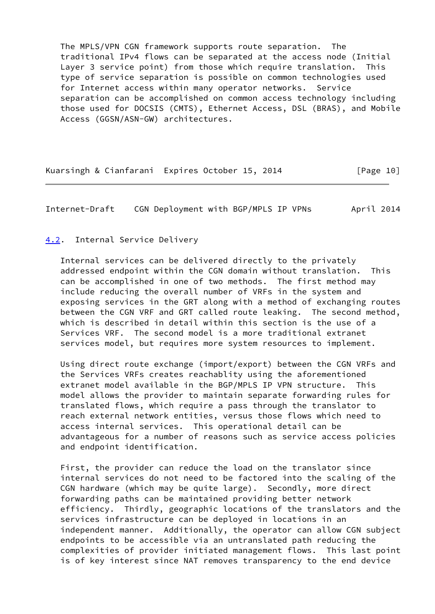The MPLS/VPN CGN framework supports route separation. The traditional IPv4 flows can be separated at the access node (Initial Layer 3 service point) from those which require translation. This type of service separation is possible on common technologies used for Internet access within many operator networks. Service separation can be accomplished on common access technology including those used for DOCSIS (CMTS), Ethernet Access, DSL (BRAS), and Mobile Access (GGSN/ASN-GW) architectures.

Kuarsingh & Cianfarani Expires October 15, 2014 [Page 10]

<span id="page-11-1"></span>Internet-Draft CGN Deployment with BGP/MPLS IP VPNs April 2014

## <span id="page-11-0"></span>[4.2](#page-11-0). Internal Service Delivery

 Internal services can be delivered directly to the privately addressed endpoint within the CGN domain without translation. This can be accomplished in one of two methods. The first method may include reducing the overall number of VRFs in the system and exposing services in the GRT along with a method of exchanging routes between the CGN VRF and GRT called route leaking. The second method, which is described in detail within this section is the use of a Services VRF. The second model is a more traditional extranet services model, but requires more system resources to implement.

 Using direct route exchange (import/export) between the CGN VRFs and the Services VRFs creates reachablity using the aforementioned extranet model available in the BGP/MPLS IP VPN structure. This model allows the provider to maintain separate forwarding rules for translated flows, which require a pass through the translator to reach external network entities, versus those flows which need to access internal services. This operational detail can be advantageous for a number of reasons such as service access policies and endpoint identification.

 First, the provider can reduce the load on the translator since internal services do not need to be factored into the scaling of the CGN hardware (which may be quite large). Secondly, more direct forwarding paths can be maintained providing better network efficiency. Thirdly, geographic locations of the translators and the services infrastructure can be deployed in locations in an independent manner. Additionally, the operator can allow CGN subject endpoints to be accessible via an untranslated path reducing the complexities of provider initiated management flows. This last point is of key interest since NAT removes transparency to the end device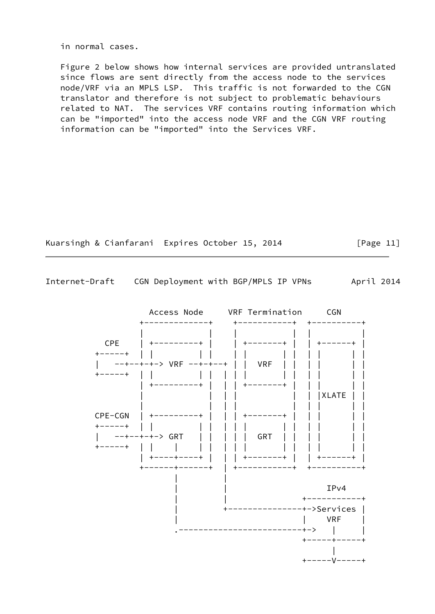in normal cases.

 Figure 2 below shows how internal services are provided untranslated since flows are sent directly from the access node to the services node/VRF via an MPLS LSP. This traffic is not forwarded to the CGN translator and therefore is not subject to problematic behaviours related to NAT. The services VRF contains routing information which can be "imported" into the access node VRF and the CGN VRF routing information can be "imported" into the Services VRF.



Internet-Draft CGN Deployment with BGP/MPLS IP VPNs April 2014

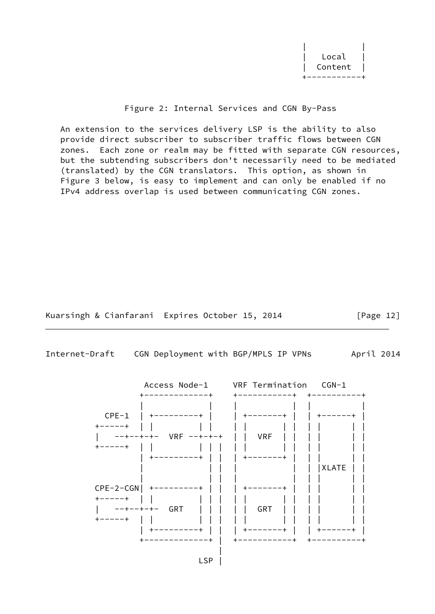| | Local Content +-----------+

# Figure 2: Internal Services and CGN By-Pass

 An extension to the services delivery LSP is the ability to also provide direct subscriber to subscriber traffic flows between CGN zones. Each zone or realm may be fitted with separate CGN resources, but the subtending subscribers don't necessarily need to be mediated (translated) by the CGN translators. This option, as shown in Figure 3 below, is easy to implement and can only be enabled if no IPv4 address overlap is used between communicating CGN zones.

Kuarsingh & Cianfarani Expires October 15, 2014 [Page 12]

<span id="page-13-0"></span>Internet-Draft CGN Deployment with BGP/MPLS IP VPNs April 2014

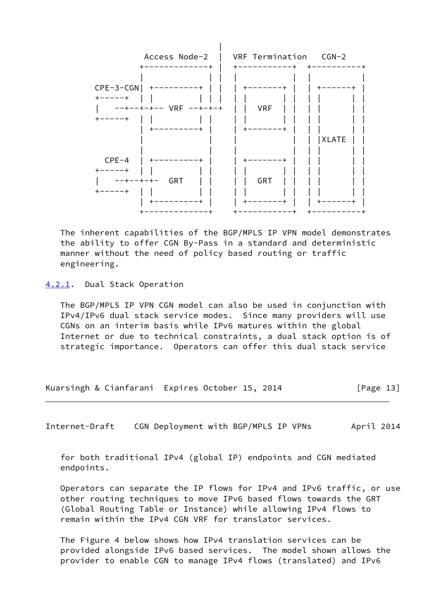

 The inherent capabilities of the BGP/MPLS IP VPN model demonstrates the ability to offer CGN By-Pass in a standard and deterministic manner without the need of policy based routing or traffic engineering.

<span id="page-14-0"></span>[4.2.1](#page-14-0). Dual Stack Operation

 The BGP/MPLS IP VPN CGN model can also be used in conjunction with IPv4/IPv6 dual stack service modes. Since many providers will use CGNs on an interim basis while IPv6 matures within the global Internet or due to technical constraints, a dual stack option is of strategic importance. Operators can offer this dual stack service

Kuarsingh & Cianfarani Expires October 15, 2014 [Page 13]

Internet-Draft CGN Deployment with BGP/MPLS IP VPNs April 2014

 for both traditional IPv4 (global IP) endpoints and CGN mediated endpoints.

 Operators can separate the IP flows for IPv4 and IPv6 traffic, or use other routing techniques to move IPv6 based flows towards the GRT (Global Routing Table or Instance) while allowing IPv4 flows to remain within the IPv4 CGN VRF for translator services.

 The Figure 4 below shows how IPv4 translation services can be provided alongside IPv6 based services. The model shown allows the provider to enable CGN to manage IPv4 flows (translated) and IPv6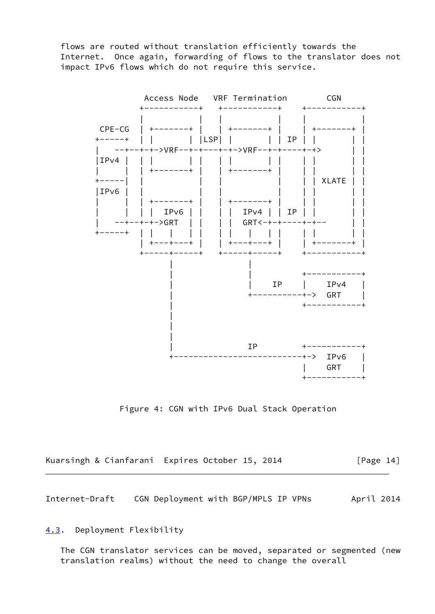flows are routed without translation efficiently towards the Internet. Once again, forwarding of flows to the translator does not impact IPv6 flows which do not require this service.



Figure 4: CGN with IPv6 Dual Stack Operation

| Kuarsingh & Cianfarani Expires October 15, 2014 |  |  | [Page 14] |
|-------------------------------------------------|--|--|-----------|
|-------------------------------------------------|--|--|-----------|

<span id="page-15-1"></span>Internet-Draft CGN Deployment with BGP/MPLS IP VPNs April 2014

<span id="page-15-0"></span>[4.3](#page-15-0). Deployment Flexibility

 The CGN translator services can be moved, separated or segmented (new translation realms) without the need to change the overall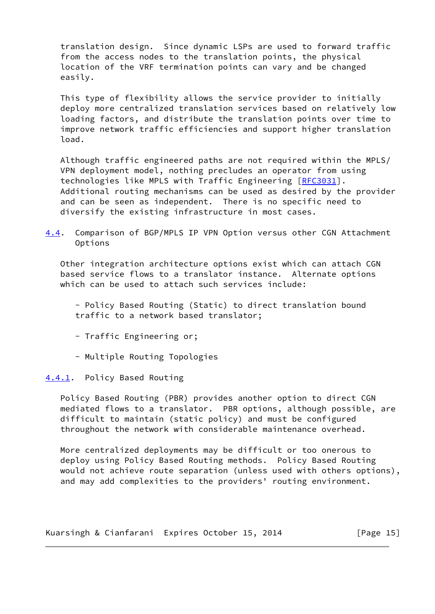translation design. Since dynamic LSPs are used to forward traffic from the access nodes to the translation points, the physical location of the VRF termination points can vary and be changed easily.

 This type of flexibility allows the service provider to initially deploy more centralized translation services based on relatively low loading factors, and distribute the translation points over time to improve network traffic efficiencies and support higher translation load.

 Although traffic engineered paths are not required within the MPLS/ VPN deployment model, nothing precludes an operator from using technologies like MPLS with Traffic Engineering [\[RFC3031](https://datatracker.ietf.org/doc/pdf/rfc3031)]. Additional routing mechanisms can be used as desired by the provider and can be seen as independent. There is no specific need to diversify the existing infrastructure in most cases.

<span id="page-16-1"></span>[4.4](#page-16-1). Comparison of BGP/MPLS IP VPN Option versus other CGN Attachment Options

 Other integration architecture options exist which can attach CGN based service flows to a translator instance. Alternate options which can be used to attach such services include:

 - Policy Based Routing (Static) to direct translation bound traffic to a network based translator;

- Traffic Engineering or;
- Multiple Routing Topologies

<span id="page-16-0"></span>[4.4.1](#page-16-0). Policy Based Routing

 Policy Based Routing (PBR) provides another option to direct CGN mediated flows to a translator. PBR options, although possible, are difficult to maintain (static policy) and must be configured throughout the network with considerable maintenance overhead.

 More centralized deployments may be difficult or too onerous to deploy using Policy Based Routing methods. Policy Based Routing would not achieve route separation (unless used with others options), and may add complexities to the providers' routing environment.

Kuarsingh & Cianfarani Expires October 15, 2014 [Page 15]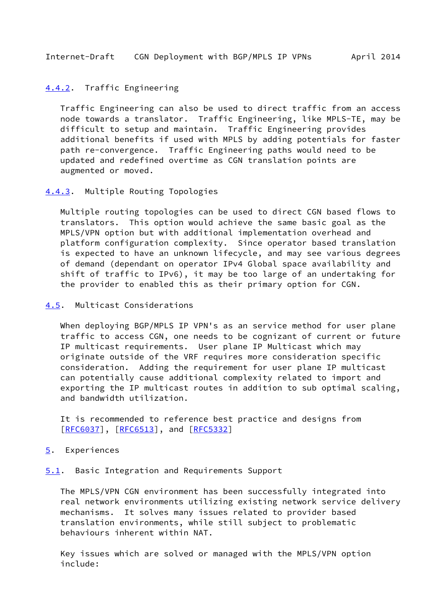<span id="page-17-1"></span>Internet-Draft CGN Deployment with BGP/MPLS IP VPNs April 2014

## <span id="page-17-0"></span>[4.4.2](#page-17-0). Traffic Engineering

 Traffic Engineering can also be used to direct traffic from an access node towards a translator. Traffic Engineering, like MPLS-TE, may be difficult to setup and maintain. Traffic Engineering provides additional benefits if used with MPLS by adding potentials for faster path re-convergence. Traffic Engineering paths would need to be updated and redefined overtime as CGN translation points are augmented or moved.

### <span id="page-17-2"></span>[4.4.3](#page-17-2). Multiple Routing Topologies

 Multiple routing topologies can be used to direct CGN based flows to translators. This option would achieve the same basic goal as the MPLS/VPN option but with additional implementation overhead and platform configuration complexity. Since operator based translation is expected to have an unknown lifecycle, and may see various degrees of demand (dependant on operator IPv4 Global space availability and shift of traffic to IPv6), it may be too large of an undertaking for the provider to enabled this as their primary option for CGN.

# <span id="page-17-3"></span>[4.5](#page-17-3). Multicast Considerations

 When deploying BGP/MPLS IP VPN's as an service method for user plane traffic to access CGN, one needs to be cognizant of current or future IP multicast requirements. User plane IP Multicast which may originate outside of the VRF requires more consideration specific consideration. Adding the requirement for user plane IP multicast can potentially cause additional complexity related to import and exporting the IP multicast routes in addition to sub optimal scaling, and bandwidth utilization.

 It is recommended to reference best practice and designs from [\[RFC6037](https://datatracker.ietf.org/doc/pdf/rfc6037)], [[RFC6513\]](https://datatracker.ietf.org/doc/pdf/rfc6513), and [[RFC5332](https://datatracker.ietf.org/doc/pdf/rfc5332)]

#### <span id="page-17-4"></span>[5](#page-17-4). Experiences

<span id="page-17-5"></span>[5.1](#page-17-5). Basic Integration and Requirements Support

 The MPLS/VPN CGN environment has been successfully integrated into real network environments utilizing existing network service delivery mechanisms. It solves many issues related to provider based translation environments, while still subject to problematic behaviours inherent within NAT.

 Key issues which are solved or managed with the MPLS/VPN option include: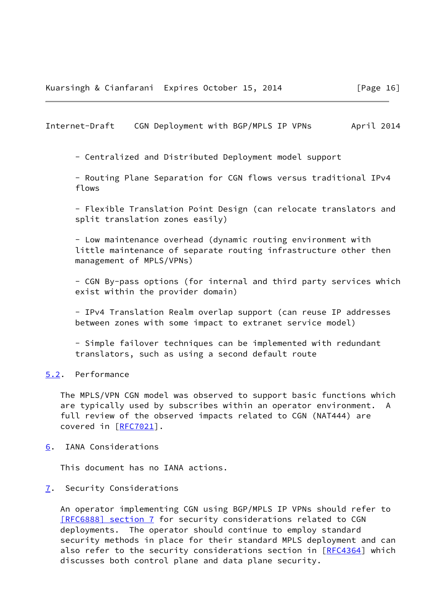<span id="page-18-1"></span>Internet-Draft CGN Deployment with BGP/MPLS IP VPNs April 2014

- Centralized and Distributed Deployment model support

 - Routing Plane Separation for CGN flows versus traditional IPv4 flows

 - Flexible Translation Point Design (can relocate translators and split translation zones easily)

 - Low maintenance overhead (dynamic routing environment with little maintenance of separate routing infrastructure other then management of MPLS/VPNs)

 - CGN By-pass options (for internal and third party services which exist within the provider domain)

 - IPv4 Translation Realm overlap support (can reuse IP addresses between zones with some impact to extranet service model)

 - Simple failover techniques can be implemented with redundant translators, such as using a second default route

<span id="page-18-0"></span>[5.2](#page-18-0). Performance

 The MPLS/VPN CGN model was observed to support basic functions which are typically used by subscribes within an operator environment. A full review of the observed impacts related to CGN (NAT444) are covered in [[RFC7021\]](https://datatracker.ietf.org/doc/pdf/rfc7021).

<span id="page-18-2"></span>[6](#page-18-2). IANA Considerations

This document has no IANA actions.

<span id="page-18-3"></span>[7](#page-18-3). Security Considerations

 An operator implementing CGN using BGP/MPLS IP VPNs should refer to [\[RFC6888\] section](https://datatracker.ietf.org/doc/pdf/rfc6888#section-7) 7 for security considerations related to CGN deployments. The operator should continue to employ standard security methods in place for their standard MPLS deployment and can also refer to the security considerations section in [\[RFC4364](https://datatracker.ietf.org/doc/pdf/rfc4364)] which discusses both control plane and data plane security.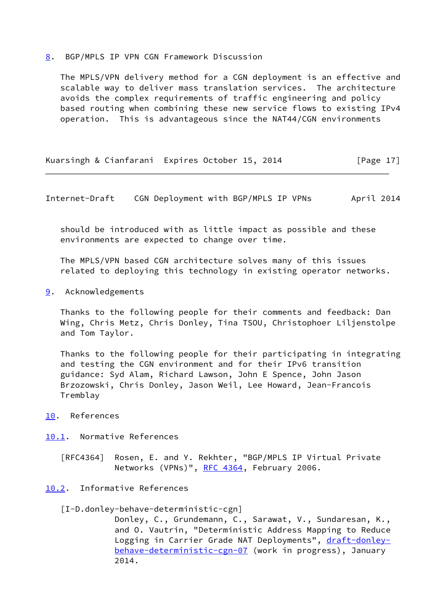#### <span id="page-19-0"></span>[8](#page-19-0). BGP/MPLS IP VPN CGN Framework Discussion

 The MPLS/VPN delivery method for a CGN deployment is an effective and scalable way to deliver mass translation services. The architecture avoids the complex requirements of traffic engineering and policy based routing when combining these new service flows to existing IPv4 operation. This is advantageous since the NAT44/CGN environments

Kuarsingh & Cianfarani Expires October 15, 2014 [Page 17]

<span id="page-19-2"></span>Internet-Draft CGN Deployment with BGP/MPLS IP VPNs April 2014

 should be introduced with as little impact as possible and these environments are expected to change over time.

 The MPLS/VPN based CGN architecture solves many of this issues related to deploying this technology in existing operator networks.

<span id="page-19-1"></span>[9](#page-19-1). Acknowledgements

 Thanks to the following people for their comments and feedback: Dan Wing, Chris Metz, Chris Donley, Tina TSOU, Christophoer Liljenstolpe and Tom Taylor.

 Thanks to the following people for their participating in integrating and testing the CGN environment and for their IPv6 transition guidance: Syd Alam, Richard Lawson, John E Spence, John Jason Brzozowski, Chris Donley, Jason Weil, Lee Howard, Jean-Francois Tremblay

- <span id="page-19-3"></span>[10.](#page-19-3) References
- <span id="page-19-4"></span>[10.1](#page-19-4). Normative References
	- [RFC4364] Rosen, E. and Y. Rekhter, "BGP/MPLS IP Virtual Private Networks (VPNs)", [RFC 4364](https://datatracker.ietf.org/doc/pdf/rfc4364), February 2006.
- <span id="page-19-6"></span><span id="page-19-5"></span>[10.2](#page-19-5). Informative References
	- [I-D.donley-behave-deterministic-cgn]

 Donley, C., Grundemann, C., Sarawat, V., Sundaresan, K., and O. Vautrin, "Deterministic Address Mapping to Reduce Logging in Carrier Grade NAT Deployments", [draft-donley](https://datatracker.ietf.org/doc/pdf/draft-donley-behave-deterministic-cgn-07) [behave-deterministic-cgn-07](https://datatracker.ietf.org/doc/pdf/draft-donley-behave-deterministic-cgn-07) (work in progress), January 2014.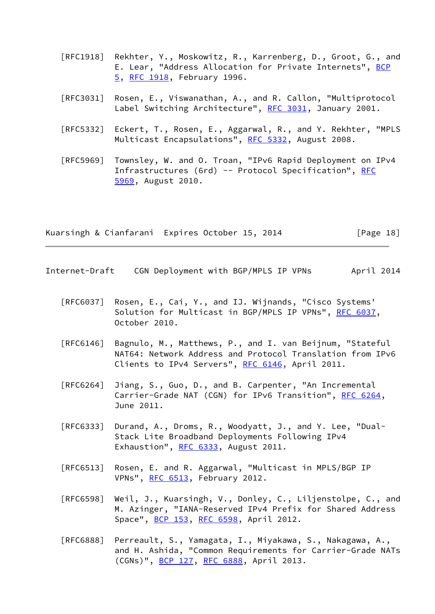- [RFC1918] Rekhter, Y., Moskowitz, R., Karrenberg, D., Groot, G., and E. Lear, "Address Allocation for Private Internets", [BCP](https://datatracker.ietf.org/doc/pdf/bcp5) [5,](https://datatracker.ietf.org/doc/pdf/bcp5) [RFC 1918](https://datatracker.ietf.org/doc/pdf/rfc1918), February 1996.
- [RFC3031] Rosen, E., Viswanathan, A., and R. Callon, "Multiprotocol Label Switching Architecture", [RFC 3031](https://datatracker.ietf.org/doc/pdf/rfc3031), January 2001.
- [RFC5332] Eckert, T., Rosen, E., Aggarwal, R., and Y. Rekhter, "MPLS Multicast Encapsulations", [RFC 5332](https://datatracker.ietf.org/doc/pdf/rfc5332), August 2008.
- [RFC5969] Townsley, W. and O. Troan, "IPv6 Rapid Deployment on IPv4 Infrastructures (6rd) -- Protocol Specification", [RFC](https://datatracker.ietf.org/doc/pdf/rfc5969) [5969,](https://datatracker.ietf.org/doc/pdf/rfc5969) August 2010.

Kuarsingh & Cianfarani Expires October 15, 2014 [Page 18]

- <span id="page-20-0"></span>Internet-Draft CGN Deployment with BGP/MPLS IP VPNs April 2014
	- [RFC6037] Rosen, E., Cai, Y., and IJ. Wijnands, "Cisco Systems' Solution for Multicast in BGP/MPLS IP VPNs", [RFC 6037](https://datatracker.ietf.org/doc/pdf/rfc6037), October 2010.
	- [RFC6146] Bagnulo, M., Matthews, P., and I. van Beijnum, "Stateful NAT64: Network Address and Protocol Translation from IPv6 Clients to IPv4 Servers", [RFC 6146](https://datatracker.ietf.org/doc/pdf/rfc6146), April 2011.
	- [RFC6264] Jiang, S., Guo, D., and B. Carpenter, "An Incremental Carrier-Grade NAT (CGN) for IPv6 Transition", [RFC 6264](https://datatracker.ietf.org/doc/pdf/rfc6264), June 2011.
	- [RFC6333] Durand, A., Droms, R., Woodyatt, J., and Y. Lee, "Dual- Stack Lite Broadband Deployments Following IPv4 Exhaustion", [RFC 6333](https://datatracker.ietf.org/doc/pdf/rfc6333), August 2011.
	- [RFC6513] Rosen, E. and R. Aggarwal, "Multicast in MPLS/BGP IP VPNs", [RFC 6513](https://datatracker.ietf.org/doc/pdf/rfc6513), February 2012.
	- [RFC6598] Weil, J., Kuarsingh, V., Donley, C., Liljenstolpe, C., and M. Azinger, "IANA-Reserved IPv4 Prefix for Shared Address Space", [BCP 153](https://datatracker.ietf.org/doc/pdf/bcp153), [RFC 6598,](https://datatracker.ietf.org/doc/pdf/rfc6598) April 2012.
	- [RFC6888] Perreault, S., Yamagata, I., Miyakawa, S., Nakagawa, A., and H. Ashida, "Common Requirements for Carrier-Grade NATs (CGNs)", [BCP 127,](https://datatracker.ietf.org/doc/pdf/bcp127) [RFC 6888](https://datatracker.ietf.org/doc/pdf/rfc6888), April 2013.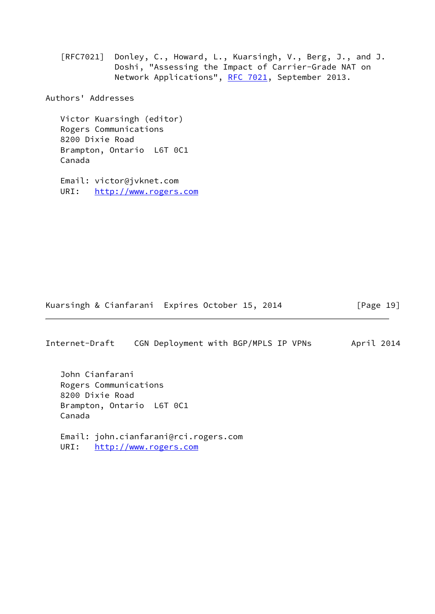[RFC7021] Donley, C., Howard, L., Kuarsingh, V., Berg, J., and J. Doshi, "Assessing the Impact of Carrier-Grade NAT on Network Applications", [RFC 7021](https://datatracker.ietf.org/doc/pdf/rfc7021), September 2013.

Authors' Addresses

 Victor Kuarsingh (editor) Rogers Communications 8200 Dixie Road Brampton, Ontario L6T 0C1 Canada

 Email: victor@jvknet.com URI: <http://www.rogers.com>

Kuarsingh & Cianfarani Expires October 15, 2014 [Page 19]

Internet-Draft CGN Deployment with BGP/MPLS IP VPNs April 2014

 John Cianfarani Rogers Communications 8200 Dixie Road Brampton, Ontario L6T 0C1 Canada

 Email: john.cianfarani@rci.rogers.com URI: <http://www.rogers.com>